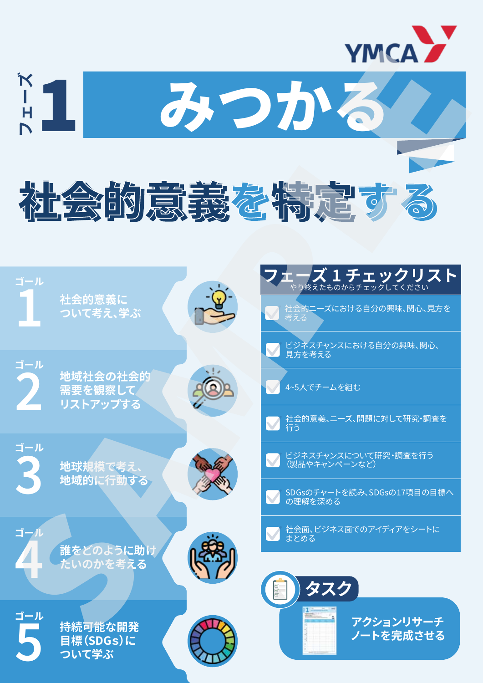



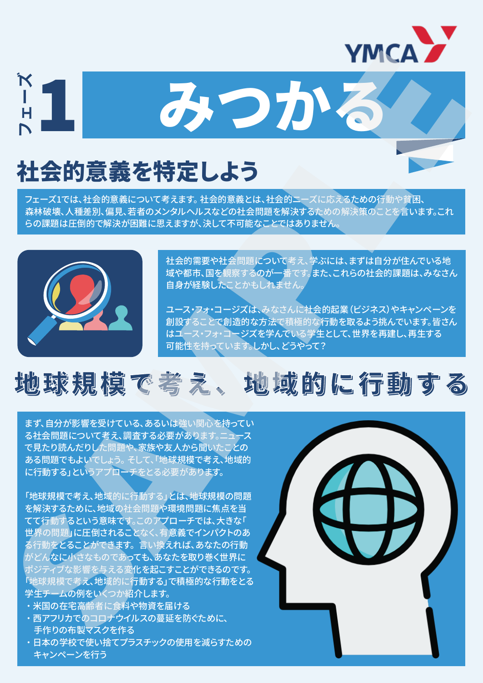

## 社会的意義を特定しよう

フェーズ1では、社会的意義について考えます。社会的意義とは、社会的ニーズに応えるための行動や貧困、 森林破壊、人種差別、偏見、若者のメンタルヘルスなどの社会問題を解決するための解決策のことを言います。これ らの課題は圧倒的で解決が困難に思えますが、決して不可能なことではありません。

スコカン



社会的需要や社会問題について考え、学ぶには、まずは自分が住んでいる地 域や都市、国を観察するのが一番です。また、これらの社会的課題は、みなさん 自身が経験したことかもしれません。

ユース・フォ・コージズは、みなさんに社会的起業(ビジネス)やキャンペーンを 創設することで創造的な方法で積極的な行動を取るよう挑んでいます。皆さん はユース・フォ・コージズを学んでいる学生として、世界を再建し、再生する 可能性を持っています。しかし、どうやって?

### 地球規模で考え、地域的に行動する 地球規模で考え、地域的に行動する

まず、自分が影響を受けている、あるいは強い関心を持ってい る社会問題について考え、調査する必要があります。ニュース で見たり読んだりした問題や、家族や友人から聞いたことの ある問題でもよいでしょう。 そして、「地球規模で考え、地域的 に行動する」というアプローチをとる必要があります。

「地球規模で考え、地域的に行動する」とは、地球規模の問題 を解決するために、地域の社会問題や環境問題に焦点を当 てて行動するという意味です。このアプローチでは、大きな「 世界の問題」に圧倒されることなく、有意義でインパクトのあ る行動をとることができます。 言い換えれば、あなたの行動 がどんなに小さなものであっても、あなたを取り巻く世界に ポジティブな影響を与える変化を起こすことができるのです。 「地球規模で考え、地域的に行動する」で積極的な行動をとる 学生チームの例をいくつか紹介します。

- **米国の在宅高齢者に食料や物資を届ける**
- ・西アフリカでのコロナウイルスの蔓延を防ぐために、 手作りの布製マスクを作る
- ・日本の学校で使い捨てプラスチックの使用を減らすための キャンペーンを行う

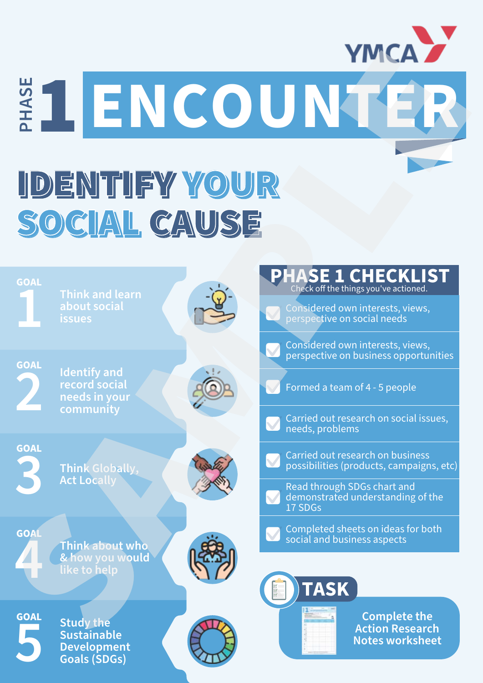

# IDENTIFY YOUR IDENTIFY YOUR SOCIAL CAUSE SOCIAL CAUSE

|                                                                                                     |                                                | <b>YMCA</b>                                                                                                                                                             |  |  |
|-----------------------------------------------------------------------------------------------------|------------------------------------------------|-------------------------------------------------------------------------------------------------------------------------------------------------------------------------|--|--|
|                                                                                                     |                                                | ENCOUNTER                                                                                                                                                               |  |  |
| IDENTIFY YOUR<br>SOCIAL CAUSE                                                                       |                                                |                                                                                                                                                                         |  |  |
| <b>GOAL</b><br>Think and learn<br>about social<br><b>issues</b>                                     | $\frac{1}{\sqrt{\frac{1}{2}}}\cdot\frac{1}{2}$ | <b>PHASE 1 CHECKLIST</b><br>Considered own interests, views,<br>perspective on social needs                                                                             |  |  |
| <b>GOAL</b><br><b>Identify and</b><br>$\blacksquare$<br>record social<br>needs in your<br>community |                                                | Considered own interests, views,<br>perspective on business opportunities<br>Formed a team of 4 - 5 people<br>Carried out research on social issues,<br>needs, problems |  |  |
| <b>GOAL</b><br>Think Globally,<br><b>Act Locally</b>                                                |                                                | Carried out research on business<br>possibilities (products, campaigns, etc)<br>Read through SDGs chart and<br>demonstrated understanding of the<br>17 SDGs             |  |  |
| <b>GOA</b><br>Think about who<br>& how you would<br>like to help                                    |                                                | Completed sheets on ideas for both<br>social and business aspects<br><b>TASK</b>                                                                                        |  |  |
| <b>GOAL</b><br><b>Study the</b><br><b>Sustainable</b><br><b>Development</b><br><b>Goals (SDGs)</b>  |                                                | <b>Complete the</b><br><b>Action Research</b><br><b>Notes worksheet</b>                                                                                                 |  |  |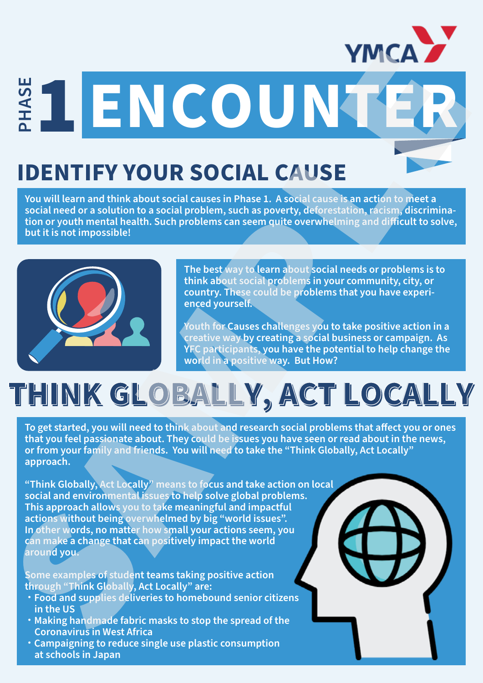

#### **IDENTIFY YOUR SOCIAL CAUSE**

**You will learn and think about social causes in Phase 1. A social cause is an action to meet a social need or a solution to a social problem, such as poverty, deforestation, racism, discrimina**tion or youth mental health. Such problems can seem quite overwhelming and difficult to solve,<br>but it is not impossible! **but it is not impossible!**<br> **but it is not impossible!**<br> **but it is not impossible!**<br> **problems** can seem quite overwhelming and difficult to solve,<br> **but it is not impossible!** 



**The best way to learn about social needs or problems is to think about social problems in your community, city, or country. These could be problems that you have experienced yourself.** 

**Youth for Causes challenges you to take positive action in a creative way by creating a social business or campaign. As YFC participants, you have the potential to help change the world in a positive way. But How?**

# **THINK GLOBALLY, ACT LOCALLY THINK GLOBALLY, ACT LOCALLY**

To get started, you will need to think about and research social problems that affect you or ones **that you feel passionate about. They could be issues you have seen or read about in the news, or from your family and friends. You will need to take the "Think Globally, Act Locally" approach.**

**"Think Globally, Act Locally" means to focus and take action on local social and environmental issues to help solve global problems. This approach allows you to take meaningful and impactful actions without being overwhelmed by big "world issues". In other words, no matter how small your actions seem, you can make a change that can positively impact the world around you. SAMPLE READER IN COURSE**<br>
SAMPLE TO UR SOCIAL CAUSE<br>
You'll literarmal think about cost is a new signal contained contained and the set of the set of the set of the set of the set of the set of the set of the set of the s

**Some examples of student teams taking positive action through "Think Globally, Act Locally" are:** 

- ・ **Food and supplies deliveries to homebound senior citizens in the US**
- ・ **Making handmade fabric masks to stop the spread of the Coronavirus in West Africa**
- ・ **Campaigning to reduce single use plastic consumption at schools in Japan**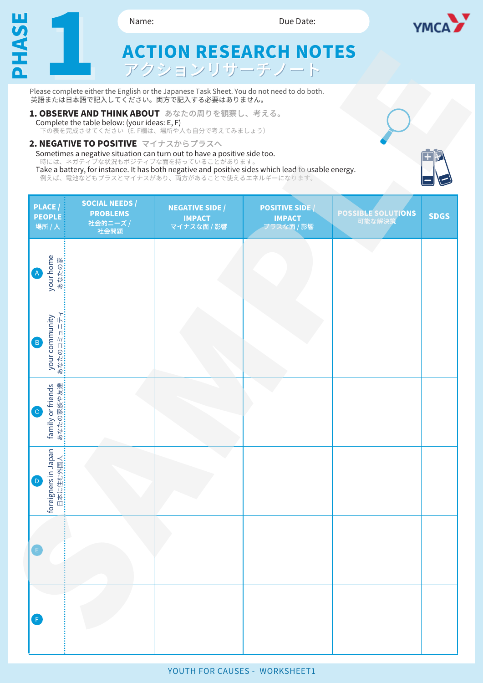

- **Complete the table below: (your ideas: E, F)**<br>下の表を完成させてください(E. F欄は、場所や人も自分で考えてみましょう) **1. OBSERVE AND THINK ABOUT** あなたの周りを観察し、考える。
- 
- **2. NEGATIVE TO POSITIVE**

|                                                                                                                                                                                                                                                                                                                                                                                                                                                                                                                                                      | 2. NEGATIVE TO POSITIVE マイナスからプラスへ                           | Sometimes a negative situation can turn out to have a positive side too.<br>時には、ネガティブな状況もポジティブな面を持っていることがあります。<br>例えば、電池などもプラスとマイナスがあり、両方があることで使えるエネルギーになります。 | Take a battery, for instance. It has both negative and positive sides which lead to usable energy. |                                     |             |
|------------------------------------------------------------------------------------------------------------------------------------------------------------------------------------------------------------------------------------------------------------------------------------------------------------------------------------------------------------------------------------------------------------------------------------------------------------------------------------------------------------------------------------------------------|--------------------------------------------------------------|---------------------------------------------------------------------------------------------------------------------------------------------------------------|----------------------------------------------------------------------------------------------------|-------------------------------------|-------------|
| <b>PLACE</b><br><b>PEOPLE</b><br>場所 / 人                                                                                                                                                                                                                                                                                                                                                                                                                                                                                                              | <b>SOCIAL NEEDS /</b><br><b>PROBLEMS</b><br>社会的ニーズ /<br>社会問題 | <b>NEGATIVE SIDE /</b><br><b>IMPACT</b><br>マイナスな面 / 影響                                                                                                        | <b>POSITIVE SIDE</b><br><b>IMPACT</b><br>プラスな面 / 影響                                                | <b>POSSIBLE SOLUTIONS</b><br>可能な解決策 | <b>SDGS</b> |
| your home<br>あなたの家<br>$\left( \mathsf{A}\right)$                                                                                                                                                                                                                                                                                                                                                                                                                                                                                                     |                                                              |                                                                                                                                                               |                                                                                                    |                                     |             |
| your community<br>your community<br>$\mathsf{H}$ :<br>$\begin{array}{c}\n\overline{11} \\ \overline{11} \\ \overline{11} \\ \overline{11} \\ \overline{11} \\ \overline{11} \\ \overline{11} \\ \overline{11} \\ \overline{11} \\ \overline{11} \\ \overline{11} \\ \overline{11} \\ \overline{11} \\ \overline{11} \\ \overline{11} \\ \overline{11} \\ \overline{11} \\ \overline{11} \\ \overline{11} \\ \overline{11} \\ \overline{11} \\ \overline{11} \\ \overline{11} \\ \overline{11} \\ \overline{11} \\ \overline{11} \\ \overline{$<br>B) |                                                              |                                                                                                                                                               |                                                                                                    |                                     |             |
| family or friends<br>家族や友<br>あなたのる                                                                                                                                                                                                                                                                                                                                                                                                                                                                                                                   |                                                              |                                                                                                                                                               |                                                                                                    |                                     |             |
| foreigners in Japan<br>日本に住む外国 <i>)</i><br>$\mathsf{D}$                                                                                                                                                                                                                                                                                                                                                                                                                                                                                              |                                                              |                                                                                                                                                               |                                                                                                    |                                     |             |
| E                                                                                                                                                                                                                                                                                                                                                                                                                                                                                                                                                    |                                                              |                                                                                                                                                               |                                                                                                    |                                     |             |